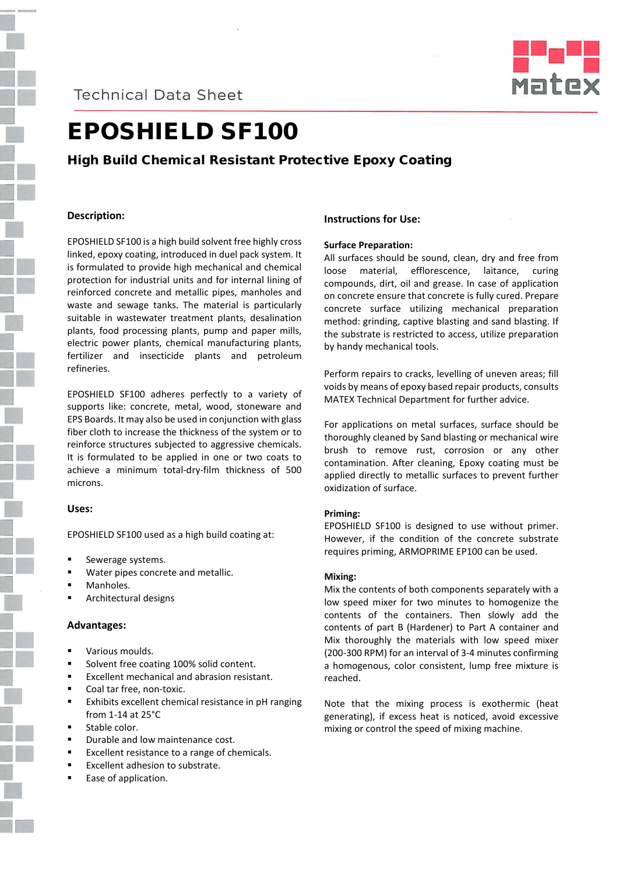**Technical Data Sheet** 



# EPOSHIELD SF100

### High Build Chemical Resistant Protective Epoxy Coating

#### **Description:**

EPOSHIELD SF100 is a high build solvent free highly cross linked, epoxy coating, introduced in duel pack system. It is formulated to provide high mechanical and chemical protection for industrial units and for internal lining of reinforced concrete and metallic pipes, manholes and waste and sewage tanks. The material is particularly suitable in wastewater treatment plants, desalination plants, food processing plants, pump and paper mills, electric power plants, chemical manufacturing plants, fertilizer and insecticide plants and petroleum refineries.

EPOSHIELD SF100 adheres perfectly to a variety of supports like: concrete, metal, wood, stoneware and EPS Boards. It may also be used in conjunction with glass fiber cloth to increase the thickness of the system or to reinforce structures subjected to aggressive chemicals. It is formulated to be applied in one or two coats to achieve a minimum total-dry-film thickness of 500 microns.

#### **Uses:**

EPOSHIELD SF100 used as a high build coating at:

- Sewerage systems.
- Water pipes concrete and metallic.
- Manholes.
- Architectural designs

#### **Advantages:**

- Various moulds.
- Solvent free coating 100% solid content.
- Excellent mechanical and abrasion resistant.
- Coal tar free, non-toxic.
- Exhibits excellent chemical resistance in pH ranging from 1-14 at 25°C
- Stable color.
- Durable and low maintenance cost.
- Excellent resistance to a range of chemicals.
- Excellent adhesion to substrate.
- Ease of application.

#### **Instructions for Use:**

#### **Surface Preparation:**

All surfaces should be sound, clean, dry and free from loose material, efflorescence, laitance, curing compounds, dirt, oil and grease. In case of application on concrete ensure that concrete is fully cured. Prepare concrete surface utilizing mechanical preparation method: grinding, captive blasting and sand blasting. If the substrate is restricted to access, utilize preparation by handy mechanical tools.

Perform repairs to cracks, levelling of uneven areas; fill voids by means of epoxy based repair products, consults MATEX Technical Department for further advice.

For applications on metal surfaces, surface should be thoroughly cleaned by Sand blasting or mechanical wire brush to remove rust, corrosion or any other contamination. After cleaning, Epoxy coating must be applied directly to metallic surfaces to prevent further oxidization of surface.

#### **Priming:**

EPOSHIELD SF100 is designed to use without primer. However, if the condition of the concrete substrate requires priming, ARMOPRIME EP100 can be used.

#### **Mixing:**

Mix the contents of both components separately with a low speed mixer for two minutes to homogenize the contents of the containers. Then slowly add the contents of part B (Hardener) to Part A container and Mix thoroughly the materials with low speed mixer (200-300 RPM) for an interval of 3-4 minutes confirming a homogenous, color consistent, lump free mixture is reached.

Note that the mixing process is exothermic (heat generating), if excess heat is noticed, avoid excessive mixing or control the speed of mixing machine.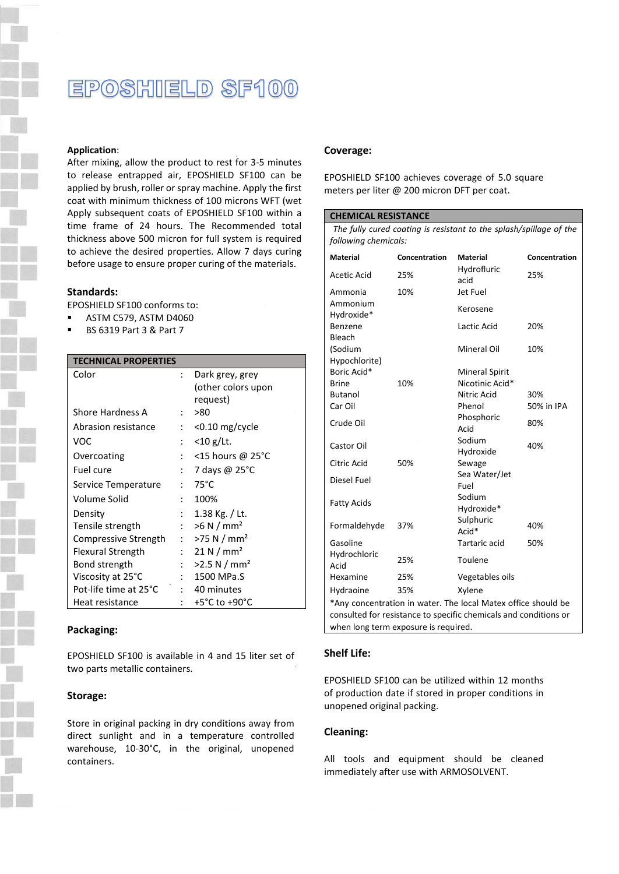### EPOSHIELD SF100

#### **Application**:

After mixing, allow the product to rest for 3-5 minutes to release entrapped air, EPOSHIELD SF100 can be applied by brush, roller or spray machine. Apply the first coat with minimum thickness of 100 microns WFT (wet Apply subsequent coats of EPOSHIELD SF100 within a time frame of 24 hours. The Recommended total thickness above 500 micron for full system is required to achieve the desired properties. Allow 7 days curing before usage to ensure proper curing of the materials.

#### **Standards:**

EPOSHIELD SF100 conforms to:

- ASTM C579, ASTM D4060
- BS 6319 Part 3 & Part 7

#### **TECHNICAL PROPERTIES**

| Color                 |                      | Dark grey, grey<br>(other colors upon |  |
|-----------------------|----------------------|---------------------------------------|--|
|                       |                      | request)                              |  |
| Shore Hardness A      | $\ddot{\cdot}$       | >80                                   |  |
| Abrasion resistance   |                      | <0.10 mg/cycle                        |  |
| VOC                   | $\ddot{\cdot}$       | $<$ 10 g/Lt.                          |  |
| Overcoating           | $\ddot{\phantom{a}}$ | <15 hours @ 25 $^{\circ}$ C           |  |
| Fuel cure             | $\ddot{\cdot}$       | 7 days @ 25°C                         |  |
| Service Temperature   | ٠                    | $75^{\circ}$ C                        |  |
| Volume Solid          |                      | 100%                                  |  |
| Density               | $\ddot{\cdot}$       | 1.38 Kg. / Lt.                        |  |
| Tensile strength      | $\mathbf{r}$         | >6 N/mm <sup>2</sup>                  |  |
| Compressive Strength  | $\mathbf{r}$         | $>75$ N / mm <sup>2</sup>             |  |
| Flexural Strength     | $\ddot{\cdot}$       | 21 N/mm <sup>2</sup>                  |  |
| Bond strength         | $\ddot{\cdot}$       | >2.5 N/mm <sup>2</sup>                |  |
| Viscosity at 25°C     |                      | 1500 MPa.S                            |  |
| Pot-life time at 25°C |                      | 40 minutes                            |  |
| Heat resistance       |                      | +5°C to +90°C                         |  |

#### **Packaging:**

EPOSHIELD SF100 is available in 4 and 15 liter set of two parts metallic containers.

#### **Storage:**

Store in original packing in dry conditions away from direct sunlight and in a temperature controlled warehouse, 10-30°C, in the original, unopened containers.

#### **Coverage:**

EPOSHIELD SF100 achieves coverage of 5.0 square meters per liter @ 200 micron DFT per coat.

| <b>CHEMICAL RESISTANCE</b>                                         |               |                       |               |  |  |
|--------------------------------------------------------------------|---------------|-----------------------|---------------|--|--|
| The fully cured coating is resistant to the splash/spillage of the |               |                       |               |  |  |
| following chemicals:                                               |               |                       |               |  |  |
| <b>Material</b>                                                    | Concentration | Material              | Concentration |  |  |
| Acetic Acid                                                        | 25%           | Hydrofluric<br>acid   | 25%           |  |  |
| Ammonia                                                            | 10%           | Jet Fuel              |               |  |  |
| Ammonium<br>Hydroxide*                                             |               | Kerosene              |               |  |  |
| Benzene<br>Bleach                                                  |               | Lactic Acid           | 20%           |  |  |
| (Sodium<br>Hypochlorite)                                           |               | Mineral Oil           | 10%           |  |  |
| Boric Acid*                                                        |               | Mineral Spirit        |               |  |  |
| <b>Brine</b>                                                       | 10%           | Nicotinic Acid*       |               |  |  |
| <b>Butanol</b>                                                     |               | Nitric Acid           | 30%           |  |  |
| Car Oil                                                            |               | Phenol                | 50% in IPA    |  |  |
| Crude Oil                                                          |               | Phosphoric<br>Acid    | 80%           |  |  |
| Castor Oil                                                         |               | Sodium<br>Hydroxide   | 40%           |  |  |
| Citric Acid                                                        | 50%           | Sewage                |               |  |  |
| Diesel Fuel                                                        |               | Sea Water/Jet<br>Fuel |               |  |  |
| <b>Fatty Acids</b>                                                 |               | Sodium<br>Hydroxide*  |               |  |  |
| Formaldehyde                                                       | 37%           | Sulphuric<br>Acid*    | 40%           |  |  |
| Gasoline                                                           |               | Tartaric acid         | 50%           |  |  |
| Hydrochloric<br>Acid                                               | 25%           | Toulene               |               |  |  |
| Hexamine                                                           | 25%           | Vegetables oils       |               |  |  |
| Hydraoine                                                          | 35%           | Xylene                |               |  |  |
| *Any concentration in water. The local Matex office should be      |               |                       |               |  |  |
| consulted for resistance to specific chemicals and conditions or   |               |                       |               |  |  |
| when long term exposure is required.                               |               |                       |               |  |  |

#### **Shelf Life:**

EPOSHIELD SF100 can be utilized within 12 months of production date if stored in proper conditions in unopened original packing.

#### **Cleaning:**

All tools and equipment should be cleaned immediately after use with ARMOSOLVENT.